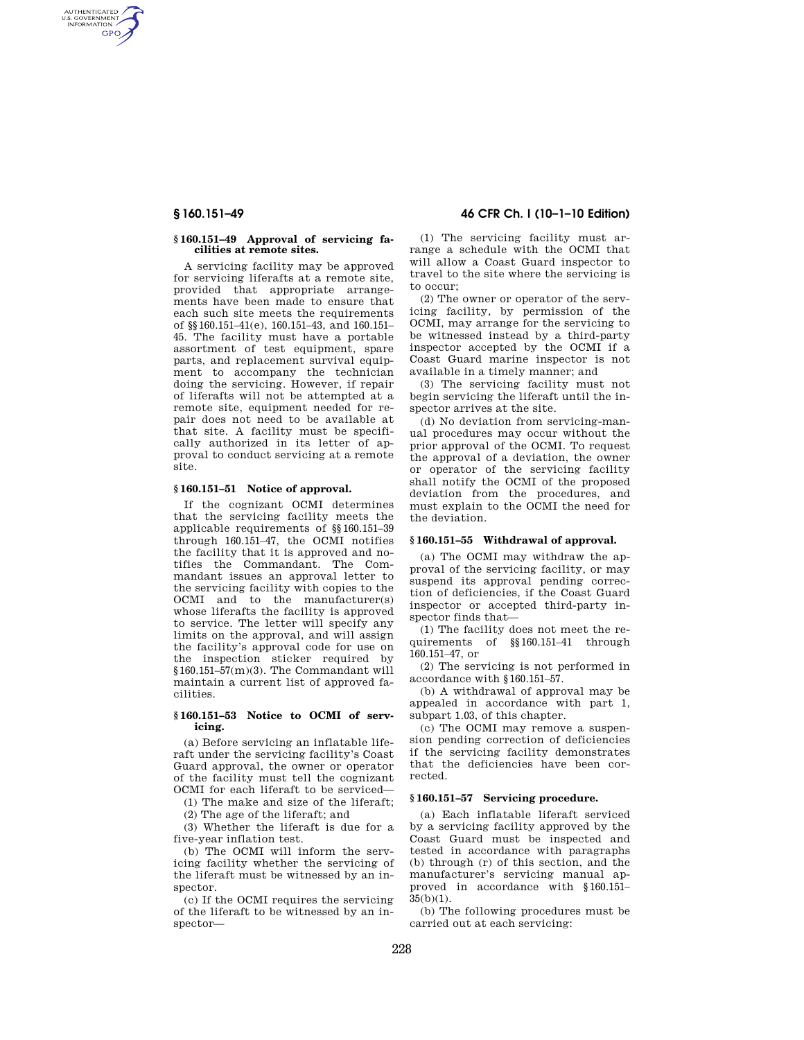AUTHENTICATED<br>U.S. GOVERNMENT<br>INFORMATION **GPO** 

#### **§ 160.151–49 Approval of servicing facilities at remote sites.**

A servicing facility may be approved for servicing liferafts at a remote site, provided that appropriate arrangements have been made to ensure that each such site meets the requirements of §§160.151–41(e), 160.151–43, and 160.151– 45. The facility must have a portable assortment of test equipment, spare parts, and replacement survival equipment to accompany the technician doing the servicing. However, if repair of liferafts will not be attempted at a remote site, equipment needed for repair does not need to be available at that site. A facility must be specifically authorized in its letter of approval to conduct servicing at a remote site.

## **§ 160.151–51 Notice of approval.**

If the cognizant OCMI determines that the servicing facility meets the applicable requirements of §§160.151–39 through 160.151–47, the OCMI notifies the facility that it is approved and notifies the Commandant. The Commandant issues an approval letter to the servicing facility with copies to the OCMI and to the manufacturer(s) whose liferafts the facility is approved to service. The letter will specify any limits on the approval, and will assign the facility's approval code for use on the inspection sticker required by §160.151–57(m)(3). The Commandant will maintain a current list of approved facilities.

#### **§ 160.151–53 Notice to OCMI of servicing.**

(a) Before servicing an inflatable liferaft under the servicing facility's Coast Guard approval, the owner or operator of the facility must tell the cognizant OCMI for each liferaft to be serviced—

(1) The make and size of the liferaft;

(2) The age of the liferaft; and

(3) Whether the liferaft is due for a five-year inflation test.

(b) The OCMI will inform the servicing facility whether the servicing of the liferaft must be witnessed by an inspector.

(c) If the OCMI requires the servicing of the liferaft to be witnessed by an inspector—

**§ 160.151–49 46 CFR Ch. I (10–1–10 Edition)** 

(1) The servicing facility must arrange a schedule with the OCMI that will allow a Coast Guard inspector to travel to the site where the servicing is to occur;

(2) The owner or operator of the servicing facility, by permission of the OCMI, may arrange for the servicing to be witnessed instead by a third-party inspector accepted by the OCMI if a Coast Guard marine inspector is not available in a timely manner; and

(3) The servicing facility must not begin servicing the liferaft until the inspector arrives at the site.

(d) No deviation from servicing-manual procedures may occur without the prior approval of the OCMI. To request the approval of a deviation, the owner or operator of the servicing facility shall notify the OCMI of the proposed deviation from the procedures, and must explain to the OCMI the need for the deviation.

## **§ 160.151–55 Withdrawal of approval.**

(a) The OCMI may withdraw the approval of the servicing facility, or may suspend its approval pending correction of deficiencies, if the Coast Guard inspector or accepted third-party inspector finds that—

(1) The facility does not meet the requirements of §§160.151–41 through 160.151–47, or

(2) The servicing is not performed in accordance with §160.151–57.

(b) A withdrawal of approval may be appealed in accordance with part 1, subpart 1.03, of this chapter.

(c) The OCMI may remove a suspension pending correction of deficiencies if the servicing facility demonstrates that the deficiencies have been corrected.

## **§ 160.151–57 Servicing procedure.**

(a) Each inflatable liferaft serviced by a servicing facility approved by the Coast Guard must be inspected and tested in accordance with paragraphs (b) through (r) of this section, and the manufacturer's servicing manual approved in accordance with §160.151–  $35(b)(1)$ .

(b) The following procedures must be carried out at each servicing: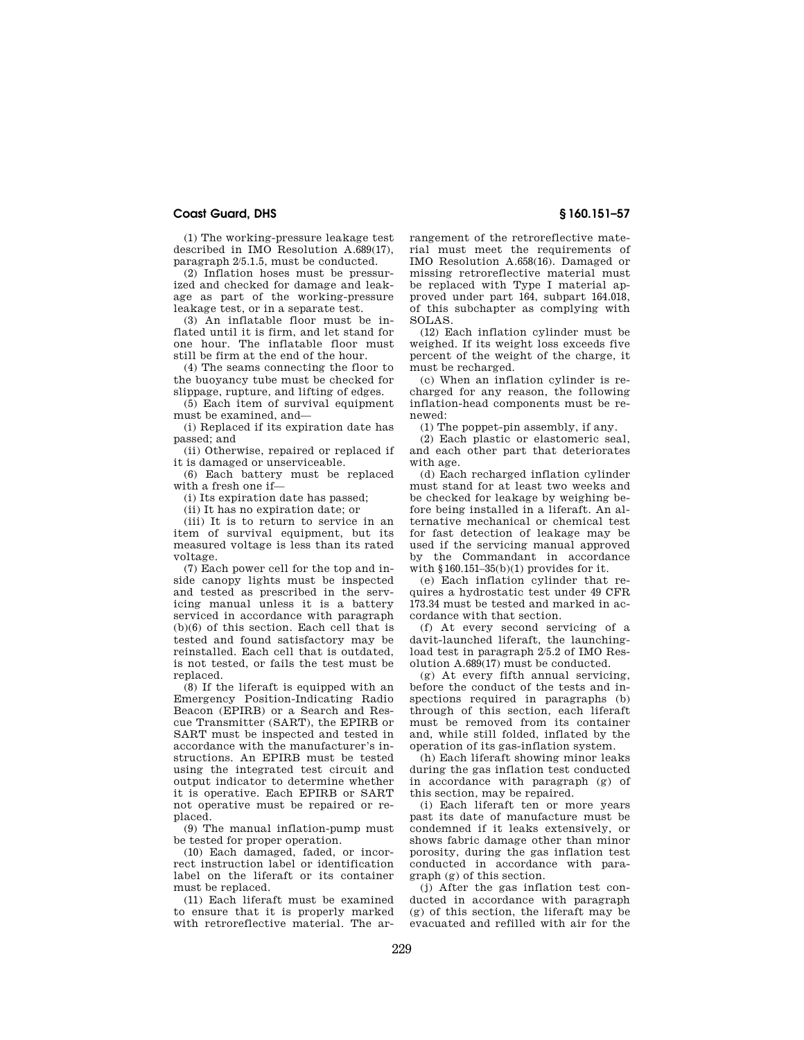## **Coast Guard, DHS § 160.151–57**

(1) The working-pressure leakage test described in IMO Resolution A.689(17), paragraph 2/5.1.5, must be conducted.

(2) Inflation hoses must be pressurized and checked for damage and leakage as part of the working-pressure leakage test, or in a separate test.

(3) An inflatable floor must be inflated until it is firm, and let stand for one hour. The inflatable floor must still be firm at the end of the hour.

(4) The seams connecting the floor to the buoyancy tube must be checked for slippage, rupture, and lifting of edges.

(5) Each item of survival equipment must be examined, and—

(i) Replaced if its expiration date has passed; and

(ii) Otherwise, repaired or replaced if it is damaged or unserviceable.

(6) Each battery must be replaced with a fresh one if—

(i) Its expiration date has passed;

(ii) It has no expiration date; or

(iii) It is to return to service in an item of survival equipment, but its measured voltage is less than its rated voltage.

(7) Each power cell for the top and inside canopy lights must be inspected and tested as prescribed in the servicing manual unless it is a battery serviced in accordance with paragraph (b)(6) of this section. Each cell that is tested and found satisfactory may be reinstalled. Each cell that is outdated, is not tested, or fails the test must be replaced.

(8) If the liferaft is equipped with an Emergency Position-Indicating Radio Beacon (EPIRB) or a Search and Rescue Transmitter (SART), the EPIRB or SART must be inspected and tested in accordance with the manufacturer's instructions. An EPIRB must be tested using the integrated test circuit and output indicator to determine whether it is operative. Each EPIRB or SART not operative must be repaired or replaced.

(9) The manual inflation-pump must be tested for proper operation.

(10) Each damaged, faded, or incorrect instruction label or identification label on the liferaft or its container must be replaced.

(11) Each liferaft must be examined to ensure that it is properly marked with retroreflective material. The arrangement of the retroreflective material must meet the requirements of IMO Resolution A.658(16). Damaged or missing retroreflective material must be replaced with Type I material approved under part 164, subpart 164.018, of this subchapter as complying with SOLAS.

(12) Each inflation cylinder must be weighed. If its weight loss exceeds five percent of the weight of the charge, it must be recharged.

(c) When an inflation cylinder is recharged for any reason, the following inflation-head components must be renewed:

(1) The poppet-pin assembly, if any.

(2) Each plastic or elastomeric seal, and each other part that deteriorates with age.

(d) Each recharged inflation cylinder must stand for at least two weeks and be checked for leakage by weighing before being installed in a liferaft. An alternative mechanical or chemical test for fast detection of leakage may be used if the servicing manual approved by the Commandant in accordance with §160.151–35(b)(1) provides for it.

(e) Each inflation cylinder that requires a hydrostatic test under 49 CFR 173.34 must be tested and marked in accordance with that section.

(f) At every second servicing of a davit-launched liferaft, the launchingload test in paragraph 2/5.2 of IMO Resolution A.689(17) must be conducted.

(g) At every fifth annual servicing, before the conduct of the tests and inspections required in paragraphs (b) through of this section, each liferaft must be removed from its container and, while still folded, inflated by the operation of its gas-inflation system.

(h) Each liferaft showing minor leaks during the gas inflation test conducted in accordance with paragraph (g) of this section, may be repaired.

(i) Each liferaft ten or more years past its date of manufacture must be condemned if it leaks extensively, or shows fabric damage other than minor porosity, during the gas inflation test conducted in accordance with paragraph (g) of this section.

(j) After the gas inflation test conducted in accordance with paragraph (g) of this section, the liferaft may be evacuated and refilled with air for the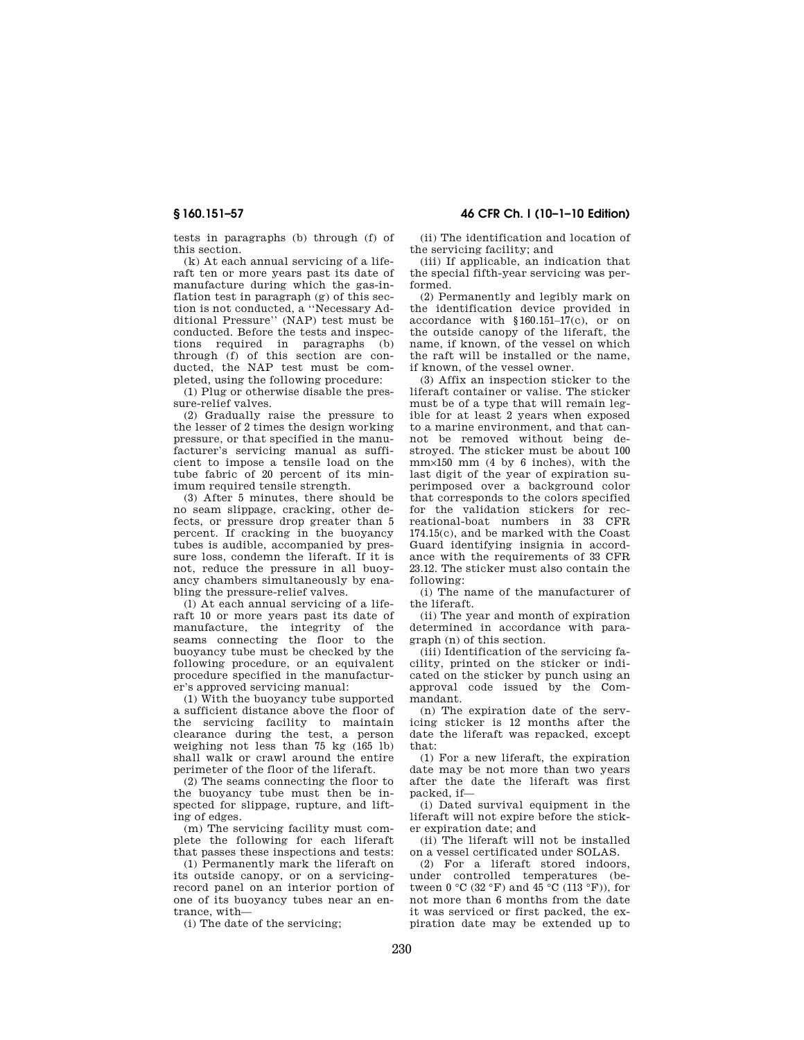tests in paragraphs (b) through (f) of this section.

(k) At each annual servicing of a liferaft ten or more years past its date of manufacture during which the gas-inflation test in paragraph (g) of this section is not conducted, a ''Necessary Additional Pressure'' (NAP) test must be conducted. Before the tests and inspections required in paragraphs (b) through (f) of this section are conducted, the NAP test must be completed, using the following procedure:

(1) Plug or otherwise disable the pressure-relief valves.

(2) Gradually raise the pressure to the lesser of 2 times the design working pressure, or that specified in the manufacturer's servicing manual as sufficient to impose a tensile load on the tube fabric of 20 percent of its minimum required tensile strength.

(3) After 5 minutes, there should be no seam slippage, cracking, other defects, or pressure drop greater than 5 percent. If cracking in the buoyancy tubes is audible, accompanied by pressure loss, condemn the liferaft. If it is not, reduce the pressure in all buoyancy chambers simultaneously by enabling the pressure-relief valves.

(l) At each annual servicing of a liferaft 10 or more years past its date of manufacture, the integrity of the seams connecting the floor to the buoyancy tube must be checked by the following procedure, or an equivalent procedure specified in the manufacturer's approved servicing manual:

(1) With the buoyancy tube supported a sufficient distance above the floor of the servicing facility to maintain clearance during the test, a person weighing not less than 75 kg (165 lb) shall walk or crawl around the entire perimeter of the floor of the liferaft.

(2) The seams connecting the floor to the buoyancy tube must then be inspected for slippage, rupture, and lifting of edges.

(m) The servicing facility must complete the following for each liferaft that passes these inspections and tests:

(1) Permanently mark the liferaft on its outside canopy, or on a servicingrecord panel on an interior portion of one of its buoyancy tubes near an entrance, with—

(i) The date of the servicing;

# **§ 160.151–57 46 CFR Ch. I (10–1–10 Edition)**

(ii) The identification and location of the servicing facility; and

(iii) If applicable, an indication that the special fifth-year servicing was performed.

(2) Permanently and legibly mark on the identification device provided in accordance with §160.151–17(c), or on the outside canopy of the liferaft, the name, if known, of the vessel on which the raft will be installed or the name, if known, of the vessel owner.

(3) Affix an inspection sticker to the liferaft container or valise. The sticker must be of a type that will remain legible for at least 2 years when exposed to a marine environment, and that cannot be removed without being destroyed. The sticker must be about 100 mm×150 mm (4 by 6 inches), with the last digit of the year of expiration superimposed over a background color that corresponds to the colors specified for the validation stickers for recreational-boat numbers in 33 CFR 174.15(c), and be marked with the Coast Guard identifying insignia in accordance with the requirements of 33 CFR 23.12. The sticker must also contain the following:

(i) The name of the manufacturer of the liferaft.

(ii) The year and month of expiration determined in accordance with paragraph (n) of this section.

(iii) Identification of the servicing facility, printed on the sticker or indicated on the sticker by punch using an approval code issued by the Commandant.

(n) The expiration date of the servicing sticker is 12 months after the date the liferaft was repacked, except that:

(1) For a new liferaft, the expiration date may be not more than two years after the date the liferaft was first packed, if—

(i) Dated survival equipment in the liferaft will not expire before the sticker expiration date; and

(ii) The liferaft will not be installed on a vessel certificated under SOLAS.

(2) For a liferaft stored indoors, under controlled temperatures (between  $0 \text{ °C}$  (32 °F) and  $45 \text{ °C}$  (113 °F)), for not more than 6 months from the date it was serviced or first packed, the expiration date may be extended up to